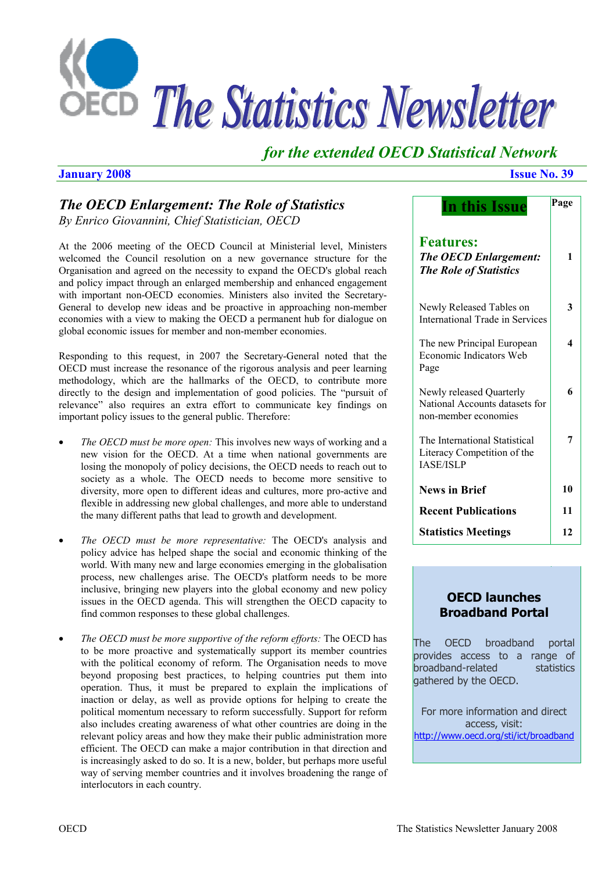

# *for the extended OECD Statistical Network*

# **January 2008 Issue No. 39**

# *The OECD Enlargement: The Role of Statistics By Enrico Giovannini, Chief Statistician, OECD*

At the 2006 meeting of the OECD Council at Ministerial level, Ministers welcomed the Council resolution on a new governance structure for the Organisation and agreed on the necessity to expand the OECD's global reach and policy impact through an enlarged membership and enhanced engagement with important non-OECD economies. Ministers also invited the Secretary-General to develop new ideas and be proactive in approaching non-member economies with a view to making the OECD a permanent hub for dialogue on global economic issues for member and non-member economies.

Responding to this request, in 2007 the Secretary-General noted that the OECD must increase the resonance of the rigorous analysis and peer learning methodology, which are the hallmarks of the OECD, to contribute more directly to the design and implementation of good policies. The "pursuit of relevance" also requires an extra effort to communicate key findings on important policy issues to the general public. Therefore:

- *The OECD must be more open:* This involves new ways of working and a new vision for the OECD. At a time when national governments are losing the monopoly of policy decisions, the OECD needs to reach out to society as a whole. The OECD needs to become more sensitive to diversity, more open to different ideas and cultures, more pro-active and flexible in addressing new global challenges, and more able to understand the many different paths that lead to growth and development.
- *The OECD must be more representative:* The OECD's analysis and policy advice has helped shape the social and economic thinking of the world. With many new and large economies emerging in the globalisation process, new challenges arise. The OECD's platform needs to be more inclusive, bringing new players into the global economy and new policy issues in the OECD agenda. This will strengthen the OECD capacity to find common responses to these global challenges.
- *The OECD must be more supportive of the reform efforts:* The OECD has to be more proactive and systematically support its member countries with the political economy of reform. The Organisation needs to move beyond proposing best practices, to helping countries put them into operation. Thus, it must be prepared to explain the implications of inaction or delay, as well as provide options for helping to create the political momentum necessary to reform successfully. Support for reform also includes creating awareness of what other countries are doing in the relevant policy areas and how they make their public administration more efficient. The OECD can make a major contribution in that direction and is increasingly asked to do so. It is a new, bolder, but perhaps more useful way of serving member countries and it involves broadening the range of interlocutors in each country.

| In this Issue                                                                      | Page |
|------------------------------------------------------------------------------------|------|
| <b>Features:</b><br><b>The OECD Enlargement:</b><br><b>The Role of Statistics</b>  | 1    |
| Newly Released Tables on<br>International Trade in Services                        | 3    |
| The new Principal European<br>Economic Indicators Web<br>Page                      | 4    |
| Newly released Quarterly<br>National Accounts datasets for<br>non-member economies | 6    |
| The International Statistical<br>Literacy Competition of the<br><b>IASE/ISLP</b>   | 7    |
| <b>News in Brief</b>                                                               | 10   |
| <b>Recent Publications</b>                                                         | 11   |
| <b>Statistics Meetings</b>                                                         | 12   |

# **OECD launches Broadband Portal**

The OECD broadband portal provides access to a range of broadband-related statistics aathered by the OECD.

For more information and direct access, visit: http://www.oecd.org/sti/ict/broadband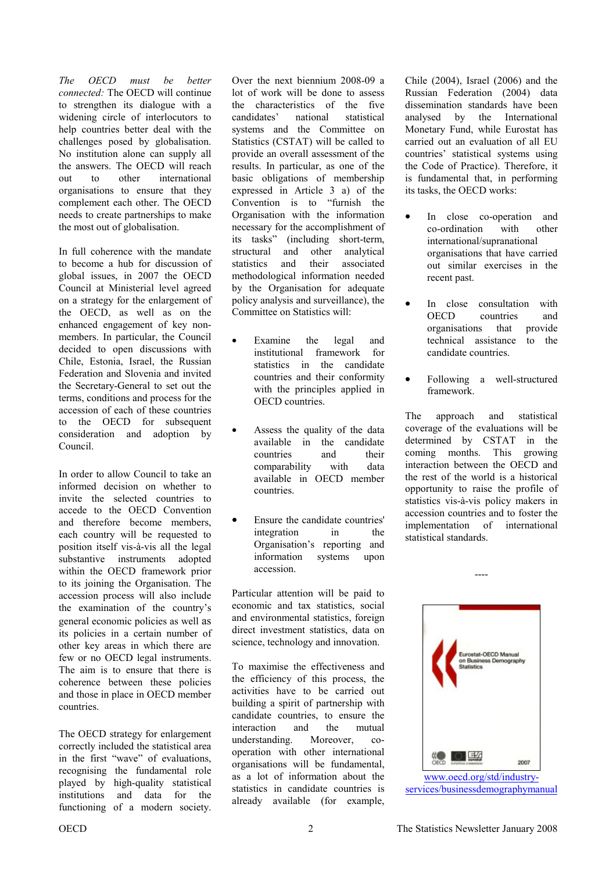*The OECD must be better connected:* The OECD will continue to strengthen its dialogue with a widening circle of interlocutors to help countries better deal with the challenges posed by globalisation. No institution alone can supply all the answers. The OECD will reach out to other international organisations to ensure that they complement each other. The OECD needs to create partnerships to make the most out of globalisation.

In full coherence with the mandate to become a hub for discussion of global issues, in 2007 the OECD Council at Ministerial level agreed on a strategy for the enlargement of the OECD, as well as on the enhanced engagement of key nonmembers. In particular, the Council decided to open discussions with Chile, Estonia, Israel, the Russian Federation and Slovenia and invited the Secretary-General to set out the terms, conditions and process for the accession of each of these countries to the OECD for subsequent consideration and adoption by Council.

In order to allow Council to take an informed decision on whether to invite the selected countries to accede to the OECD Convention and therefore become members, each country will be requested to position itself vis-à-vis all the legal substantive instruments adopted within the OECD framework prior to its joining the Organisation. The accession process will also include the examination of the country's general economic policies as well as its policies in a certain number of other key areas in which there are few or no OECD legal instruments. The aim is to ensure that there is coherence between these policies and those in place in OECD member countries.

The OECD strategy for enlargement correctly included the statistical area in the first "wave" of evaluations, recognising the fundamental role played by high-quality statistical institutions and data for the functioning of a modern society.

Over the next biennium 2008-09 a lot of work will be done to assess the characteristics of the five candidates' national statistical systems and the Committee on Statistics (CSTAT) will be called to provide an overall assessment of the results. In particular, as one of the basic obligations of membership expressed in Article 3 a) of the Convention is to "furnish the Organisation with the information necessary for the accomplishment of its tasks" (including short-term, structural and other analytical statistics and their associated methodological information needed by the Organisation for adequate policy analysis and surveillance), the Committee on Statistics will:

- Examine the legal and institutional framework for statistics in the candidate countries and their conformity with the principles applied in OECD countries.
- Assess the quality of the data available in the candidate countries and their comparability with data available in OECD member countries.
- Ensure the candidate countries' integration in the Organisation's reporting and information systems upon accession.

Particular attention will be paid to economic and tax statistics, social and environmental statistics, foreign direct investment statistics, data on science, technology and innovation.

To maximise the effectiveness and the efficiency of this process, the activities have to be carried out building a spirit of partnership with candidate countries, to ensure the interaction and the mutual understanding. Moreover, cooperation with other international organisations will be fundamental, as a lot of information about the statistics in candidate countries is already available (for example, Chile (2004), Israel (2006) and the Russian Federation (2004) data dissemination standards have been analysed by the International Monetary Fund, while Eurostat has carried out an evaluation of all EU countries' statistical systems using the Code of Practice). Therefore, it is fundamental that, in performing its tasks, the OECD works:

- In close co-operation and co-ordination with other international/supranational organisations that have carried out similar exercises in the recent past.
- In close consultation with OECD countries and organisations that provide technical assistance to the candidate countries.
- Following a well-structured framework.

The approach and statistical coverage of the evaluations will be determined by CSTAT in the coming months. This growing interaction between the OECD and the rest of the world is a historical opportunity to raise the profile of statistics vis-à-vis policy makers in accession countries and to foster the implementation of international statistical standards.

----



www.oecd.org/std/industryservices/businessdemographymanual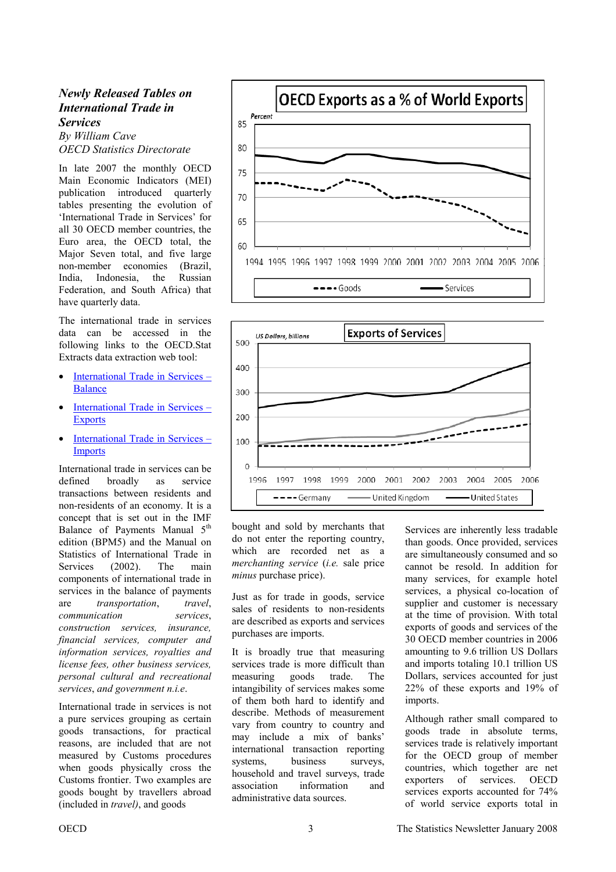# <span id="page-2-0"></span>*Newly Released Tables on International Trade in Services*

*By William Cave OECD Statistics Directorate* 

In late 2007 the monthly OECD Main Economic Indicators (MEI) publication introduced quarterly tables presenting the evolution of 'International Trade in Services' for all 30 OECD member countries, the Euro area, the OECD total, the Major Seven total, and five large non-member economies (Brazil, India, Indonesia, the Russian Federation, and South Africa) that have quarterly data.

The international trade in services data can be accessed in the following links to the OECD.Stat Extracts data extraction web tool:

- [International Trade in Services –](http://stats.oecd.org/WBOS/Default.aspx?QueryName=429&QueryType=View&Lang=en) Balance
- [International Trade in Services –](http://stats.oecd.org/WBOS/Default.aspx?QueryName=117&QueryType=View&Lang=en) Exports
- [International Trade in Services –](http://stats.oecd.org/WBOS/Default.aspx?QueryName=118&QueryType=View&Lang=en) **Imports**

International trade in services can be defined broadly as service transactions between residents and non-residents of an economy. It is a concept that is set out in the IMF Balance of Payments Manual 5<sup>th</sup> edition (BPM5) and the Manual on Statistics of International Trade in Services (2002). The main components of international trade in services in the balance of payments are *transportation*, *travel*, *communication services*, *construction services, insurance, financial services, computer and information services, royalties and license fees, other business services, personal cultural and recreational services*, *and government n.i.e*.

International trade in services is not a pure services grouping as certain goods transactions, for practical reasons, are included that are not measured by Customs procedures when goods physically cross the Customs frontier. Two examples are goods bought by travellers abroad (included in *travel)*, and goods





bought and sold by merchants that do not enter the reporting country, which are recorded net as a *merchanting service* (*i.e.* sale price *minus* purchase price).

Just as for trade in goods, service sales of residents to non-residents are described as exports and services purchases are imports.

It is broadly true that measuring services trade is more difficult than measuring goods trade. The intangibility of services makes some of them both hard to identify and describe. Methods of measurement vary from country to country and may include a mix of banks' international transaction reporting systems, business surveys, household and travel surveys, trade association information and administrative data sources.

Services are inherently less tradable than goods. Once provided, services are simultaneously consumed and so cannot be resold. In addition for many services, for example hotel services, a physical co-location of supplier and customer is necessary at the time of provision. With total exports of goods and services of the 30 OECD member countries in 2006 amounting to 9.6 trillion US Dollars and imports totaling 10.1 trillion US Dollars, services accounted for just 22% of these exports and 19% of imports.

Although rather small compared to goods trade in absolute terms, services trade is relatively important for the OECD group of member countries, which together are net exporters of services. OECD services exports accounted for 74% of world service exports total in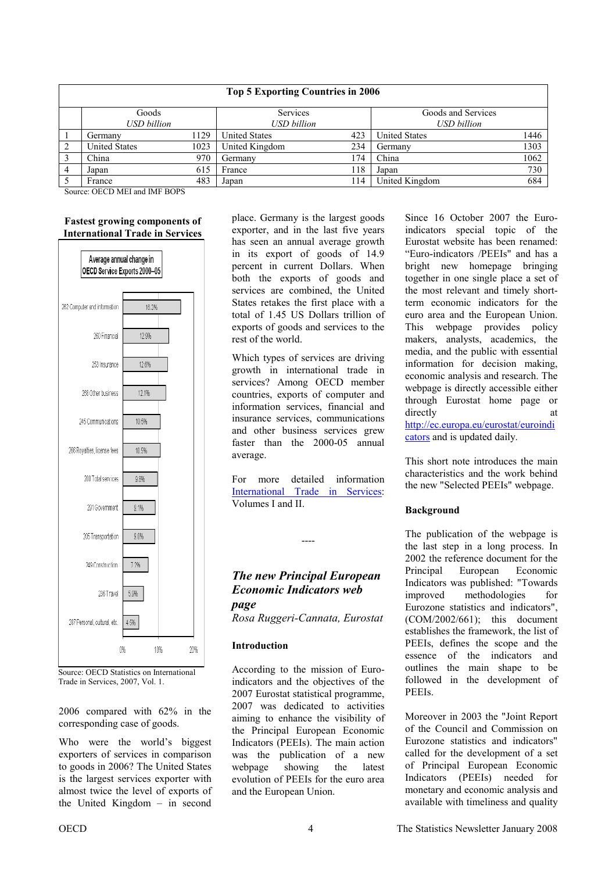<span id="page-3-0"></span>

| <b>Top 5 Exporting Countries in 2006</b> |                      |      |                      |     |                      |      |  |
|------------------------------------------|----------------------|------|----------------------|-----|----------------------|------|--|
|                                          | Goods                |      | Services             |     | Goods and Services   |      |  |
|                                          | USD billion          |      | <b>USD</b> billion   |     | <b>USD</b> billion   |      |  |
|                                          | Germanv              | 1129 | <b>United States</b> | 423 | <b>United States</b> | 1446 |  |
|                                          | <b>United States</b> | 1023 | United Kingdom       | 234 | Germany              | 1303 |  |
|                                          | China                | 970  | Germany              | 174 | China                | 1062 |  |
|                                          | Japan                | 615  | France               | 118 | Japan                | 730  |  |
|                                          | France               | 483  | Japan                | 114 | United Kingdom       | 684  |  |

Source: OECD MEI and IMF BOPS

#### **Fastest growing components of International Trade in Services**



Source: OECD Statistics on International Trade in Services, 2007, Vol. 1.

2006 compared with 62% in the corresponding case of goods.

Who were the world's biggest exporters of services in comparison to goods in 2006? The United States is the largest services exporter with almost twice the level of exports of the United Kingdom – in second place. Germany is the largest goods exporter, and in the last five years has seen an annual average growth in its export of goods of 14.9 percent in current Dollars. When both the exports of goods and services are combined, the United States retakes the first place with a total of 1.45 US Dollars trillion of exports of goods and services to the rest of the world.

Which types of services are driving growth in international trade in services? Among OECD member countries, exports of computer and information services, financial and insurance services, communications and other business services grew faster than the 2000-05 annual average.

For more detailed information [International Trade in Services:](http://webnet4.oecd.org/wbos/default.aspx?DatasetCode=TIS)  Volumes I and II.

----

# *The new Principal European Economic Indicators web page*

*Rosa Ruggeri-Cannata, Eurostat* 

# **Introduction**

According to the mission of Euroindicators and the objectives of the 2007 Eurostat statistical programme, 2007 was dedicated to activities aiming to enhance the visibility of the Principal European Economic Indicators (PEEIs). The main action was the publication of a new webpage showing the latest evolution of PEEIs for the euro area and the European Union.

Since 16 October 2007 the Euroindicators special topic of the Eurostat website has been renamed: "Euro-indicators /PEEIs" and has a bright new homepage bringing together in one single place a set of the most relevant and timely shortterm economic indicators for the euro area and the European Union. This webpage provides policy makers, analysts, academics, the media, and the public with essential information for decision making, economic analysis and research. The webpage is directly accessible either through Eurostat home page or directly at [http://ec.europa.eu/eurostat/euroindi](http://epp.eurostat.ec.europa.eu/portal/page?_pageid=1194,47773485,1194_47782287:1194_66724556&_dad=portal&_schema=PORTAL)

cators and is updated daily.

This short note introduces the main characteristics and the work behind the new "Selected PEEIs" webpage.

# **Background**

The publication of the webpage is the last step in a long process. In 2002 the reference document for the Principal European Economic Indicators was published: "Towards improved methodologies for Eurozone statistics and indicators", (COM/2002/661); this document establishes the framework, the list of PEEIs, defines the scope and the essence of the indicators and outlines the main shape to be followed in the development of PEEIs.

Moreover in 2003 the "Joint Report of the Council and Commission on Eurozone statistics and indicators" called for the development of a set of Principal European Economic Indicators (PEEIs) needed for monetary and economic analysis and available with timeliness and quality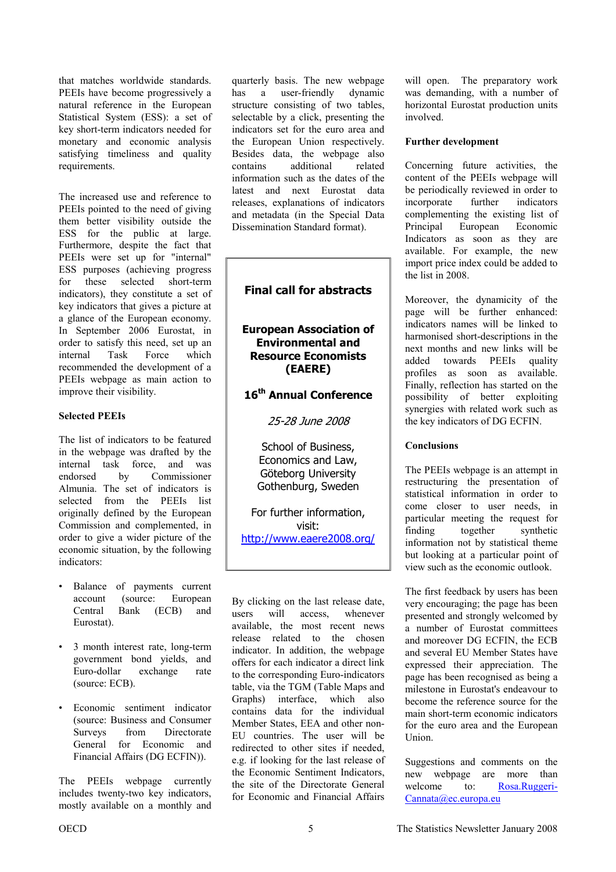that matches worldwide standards. PEEIs have become progressively a natural reference in the European Statistical System (ESS): a set of key short-term indicators needed for monetary and economic analysis satisfying timeliness and quality requirements.

The increased use and reference to PEEIs pointed to the need of giving them better visibility outside the ESS for the public at large. Furthermore, despite the fact that PEEIs were set up for "internal" ESS purposes (achieving progress for these selected short-term indicators), they constitute a set of key indicators that gives a picture at a glance of the European economy. In September 2006 Eurostat, in order to satisfy this need, set up an internal Task Force which recommended the development of a PEEIs webpage as main action to improve their visibility.

#### **Selected PEEIs**

The list of indicators to be featured in the webpage was drafted by the internal task force, and was endorsed by Commissioner Almunia. The set of indicators is selected from the PEEIs list originally defined by the European Commission and complemented, in order to give a wider picture of the economic situation, by the following indicators:

- Balance of payments current account (source: European Central Bank (ECB) and Eurostat).
- 3 month interest rate, long-term government bond yields, and Euro-dollar exchange rate (source: ECB).
- Economic sentiment indicator (source: Business and Consumer Surveys from Directorate General for Economic and Financial Affairs (DG ECFIN)).

The PEEIs webpage currently includes twenty-two key indicators, mostly available on a monthly and

quarterly basis. The new webpage has a user-friendly dynamic structure consisting of two tables, selectable by a click, presenting the indicators set for the euro area and the European Union respectively. Besides data, the webpage also contains additional related information such as the dates of the latest and next Eurostat data releases, explanations of indicators and metadata (in the Special Data Dissemination Standard format).

# **Final call for abstracts**

# **European Association of Environmental and Resource Economists (EAERE)**

# **16th Annual Conference**

25-28 June 2008

School of Business, Economics and Law, Göteborg University Gothenburg, Sweden

For further information, visit: <http://www.eaere2008.org/>

By clicking on the last release date, users will access, whenever available, the most recent news release related to the chosen indicator. In addition, the webpage offers for each indicator a direct link to the corresponding Euro-indicators table, via the TGM (Table Maps and Graphs) interface, which also contains data for the individual Member States, EEA and other non-EU countries. The user will be redirected to other sites if needed, e.g. if looking for the last release of the Economic Sentiment Indicators, the site of the Directorate General for Economic and Financial Affairs will open. The preparatory work was demanding, with a number of horizontal Eurostat production units involved.

#### **Further development**

Concerning future activities, the content of the PEEIs webpage will be periodically reviewed in order to incorporate further indicators complementing the existing list of Principal European Economic Indicators as soon as they are available. For example, the new import price index could be added to the list in 2008.

Moreover, the dynamicity of the page will be further enhanced: indicators names will be linked to harmonised short-descriptions in the next months and new links will be added towards PEEIs quality profiles as soon as available. Finally, reflection has started on the possibility of better exploiting synergies with related work such as the key indicators of DG ECFIN.

# **Conclusions**

The PEEIs webpage is an attempt in restructuring the presentation of statistical information in order to come closer to user needs, in particular meeting the request for finding together synthetic information not by statistical theme but looking at a particular point of view such as the economic outlook.

The first feedback by users has been very encouraging; the page has been presented and strongly welcomed by a number of Eurostat committees and moreover DG ECFIN, the ECB and several EU Member States have expressed their appreciation. The page has been recognised as being a milestone in Eurostat's endeavour to become the reference source for the main short-term economic indicators for the euro area and the European Union.

Suggestions and comments on the new webpage are more than [welcome to: Rosa.Ruggeri-](mailto:Rosa.Ruggeri-Cannata@ec.europa.eu)Cannata@ec.europa.eu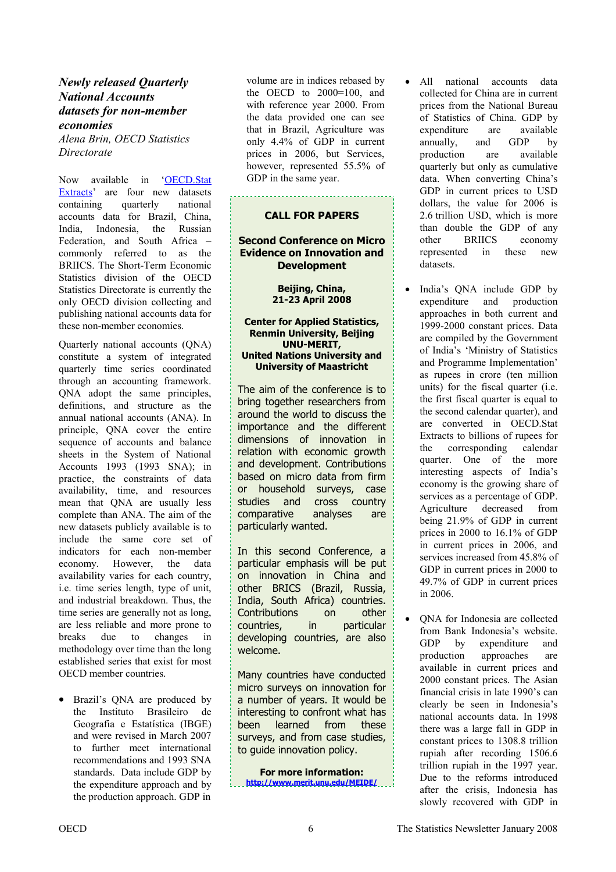# <span id="page-5-0"></span>*Newly released Quarterly National Accounts datasets for non-member economies*

*Alena Brin, OECD Statistics Directorate* 

Now available in 'OECD.Stat [Extracts' are four new datasets](http://stats.oecd.org/wbos/default.aspx)  containing quarterly national accounts data for Brazil, China, India, Indonesia, the Russian Federation, and South Africa – commonly referred to as the BRIICS. The Short-Term Economic Statistics division of the OECD Statistics Directorate is currently the only OECD division collecting and publishing national accounts data for these non-member economies.

Quarterly national accounts (QNA) constitute a system of integrated quarterly time series coordinated through an accounting framework. QNA adopt the same principles, definitions, and structure as the annual national accounts (ANA). In principle, QNA cover the entire sequence of accounts and balance sheets in the System of National Accounts 1993 (1993 SNA); in practice, the constraints of data availability, time, and resources mean that QNA are usually less complete than ANA. The aim of the new datasets publicly available is to include the same core set of indicators for each non-member economy. However, the data availability varies for each country, i.e. time series length, type of unit, and industrial breakdown. Thus, the time series are generally not as long, are less reliable and more prone to breaks due to changes in methodology over time than the long established series that exist for most OECD member countries.

• Brazil's ONA are produced by the Instituto Brasileiro de Geografia e Estatística (IBGE) and were revised in March 2007 to further meet international recommendations and 1993 SNA standards. Data include GDP by the expenditure approach and by the production approach. GDP in

volume are in indices rebased by the OECD to 2000=100, and with reference year 2000. From the data provided one can see that in Brazil, Agriculture was only 4.4% of GDP in current prices in 2006, but Services, however, represented 55.5% of GDP in the same year.

## **CALL FOR PAPERS**

# **Second Conference on Micro Evidence on Innovation and Development**

**Beijing, China, 21-23 April 2008** 

#### **Center for Applied Statistics, Renmin University, Beijing UNU-MERIT, United Nations University and University of Maastricht**

The aim of the conference is to bring together researchers from around the world to discuss the importance and the different dimensions of innovation in relation with economic growth and development. Contributions based on micro data from firm or household surveys, case studies and cross country comparative analyses are particularly wanted.

In this second Conference, a particular emphasis will be put on innovation in China and other BRICS (Brazil, Russia, India, South Africa) countries. Contributions on other countries, in particular developing countries, are also welcome.

Many countries have conducted micro surveys on innovation for a number of years. It would be interesting to confront what has been learned from these surveys, and from case studies, to guide innovation policy.

**For more information: <http://www.merit.unu.edu/MEIDE/>** All national accounts data collected for China are in current prices from the National Bureau of Statistics of China. GDP by expenditure are available annually, and GDP by production are available quarterly but only as cumulative data. When converting China's GDP in current prices to USD dollars, the value for 2006 is 2.6 trillion USD, which is more than double the GDP of any<br>other BRIICS economy other BRIICS economy represented in these new datasets.

India's QNA include GDP by expenditure and production approaches in both current and 1999-2000 constant prices. Data are compiled by the Government of India's 'Ministry of Statistics and Programme Implementation' as rupees in crore (ten million units) for the fiscal quarter (i.e. the first fiscal quarter is equal to the second calendar quarter), and are converted in OECD.Stat Extracts to billions of rupees for the corresponding calendar quarter. One of the more interesting aspects of India's economy is the growing share of services as a percentage of GDP. Agriculture decreased from being 21.9% of GDP in current prices in 2000 to 16.1% of GDP in current prices in 2006, and services increased from 45.8% of GDP in current prices in 2000 to 49.7% of GDP in current prices in 2006.

ONA for Indonesia are collected from Bank Indonesia's website. GDP by expenditure and production approaches are available in current prices and 2000 constant prices. The Asian financial crisis in late 1990's can clearly be seen in Indonesia's national accounts data. In 1998 there was a large fall in GDP in constant prices to 1308.8 trillion rupiah after recording 1506.6 trillion rupiah in the 1997 year. Due to the reforms introduced after the crisis, Indonesia has slowly recovered with GDP in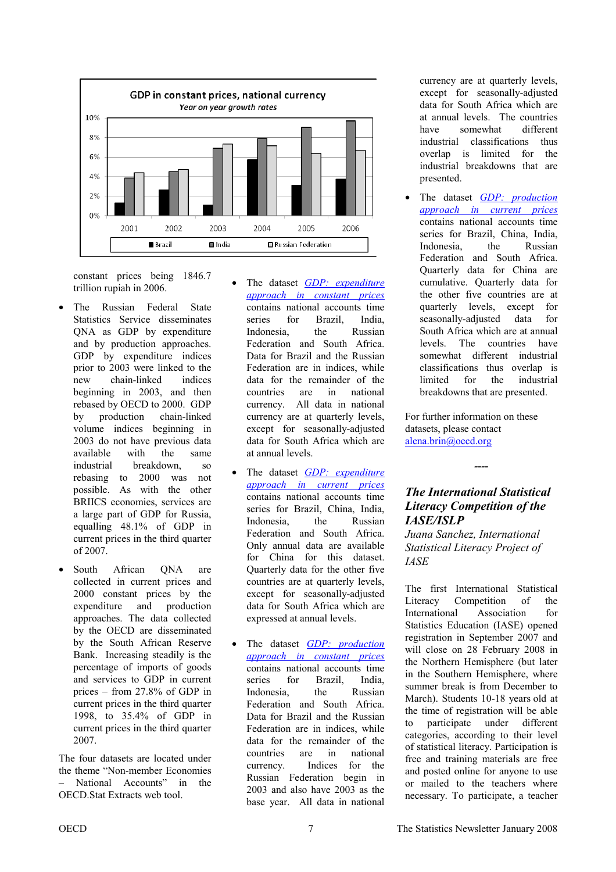<span id="page-6-0"></span>

constant prices being 1846.7 trillion rupiah in 2006.

- The Russian Federal State Statistics Service disseminates QNA as GDP by expenditure and by production approaches. GDP by expenditure indices prior to 2003 were linked to the new chain-linked indices beginning in 2003, and then rebased by OECD to 2000. GDP by production chain-linked volume indices beginning in 2003 do not have previous data available with the same industrial breakdown, so rebasing to 2000 was not possible. As with the other BRIICS economies, services are a large part of GDP for Russia, equalling 48.1% of GDP in current prices in the third quarter of 2007.
- South African ONA are collected in current prices and 2000 constant prices by the expenditure and production approaches. The data collected by the OECD are disseminated by the South African Reserve Bank. Increasing steadily is the percentage of imports of goods and services to GDP in current prices – from 27.8% of GDP in current prices in the third quarter 1998, to 35.4% of GDP in current prices in the third quarter 2007.

The four datasets are located under the theme "Non-member Economies – National Accounts" in the OECD.Stat Extracts web tool.

- The dataset **GDP**: expenditure *[approach in constant prices](http://webnet4.oecd.org/wbos/default.aspx?DatasetCode=MEI_NMC_NA_EXPCS)* contains national accounts time series for Brazil, India, Indonesia, the Russian Federation and South Africa. Data for Brazil and the Russian Federation are in indices, while data for the remainder of the countries are in national currency. All data in national currency are at quarterly levels, except for seasonally-adjusted data for South Africa which are at annual levels.
- The dataset *GDP: expenditure [approach in current prices](http://webnet4.oecd.org/wbos/default.aspx?DatasetCode=MEI_NMC_NA_EXPCR)* contains national accounts time series for Brazil, China, India, Indonesia, the Russian Federation and South Africa. Only annual data are available for China for this dataset. Quarterly data for the other five countries are at quarterly levels, except for seasonally-adjusted data for South Africa which are expressed at annual levels.
- The dataset *GDP*: *production [approach in constant prices](http://webnet4.oecd.org/wbos/default.aspx?DatasetCode=MEI_NMC_NA_PROCS)* contains national accounts time series for Brazil, India, Indonesia, the Russian Federation and South Africa. Data for Brazil and the Russian Federation are in indices, while data for the remainder of the countries are in national currency. Indices for the Russian Federation begin in 2003 and also have 2003 as the base year. All data in national

currency are at quarterly levels, except for seasonally-adjusted data for South Africa which are at annual levels. The countries have somewhat different industrial classifications thus overlap is limited for the industrial breakdowns that are presented.

The dataset **GDP**: *production [approach in current prices](http://webnet4.oecd.org/wbos/default.aspx?DatasetCode=MEI_NMC_NA_PROCR)* contains national accounts time series for Brazil, China, India, Indonesia, the Russian Federation and South Africa. Quarterly data for China are cumulative. Quarterly data for the other five countries are at quarterly levels, except for seasonally-adjusted data for South Africa which are at annual levels. The countries have somewhat different industrial classifications thus overlap is limited for the industrial breakdowns that are presented.

For further information on these datasets, please contact [alena.brin@oecd.org](mailto:alena.brin@oecd.org)

# *The International Statistical Literacy Competition of the IASE/ISLP*

*----* 

*Juana Sanchez, International Statistical Literacy Project of IASE* 

The first International Statistical Literacy Competition of the International Association for Statistics Education (IASE) opened registration in September 2007 and will close on 28 February 2008 in the Northern Hemisphere (but later in the Southern Hemisphere, where summer break is from December to March). Students 10-18 years old at the time of registration will be able to participate under different categories, according to their level of statistical literacy. Participation is free and training materials are free and posted online for anyone to use or mailed to the teachers where necessary. To participate, a teacher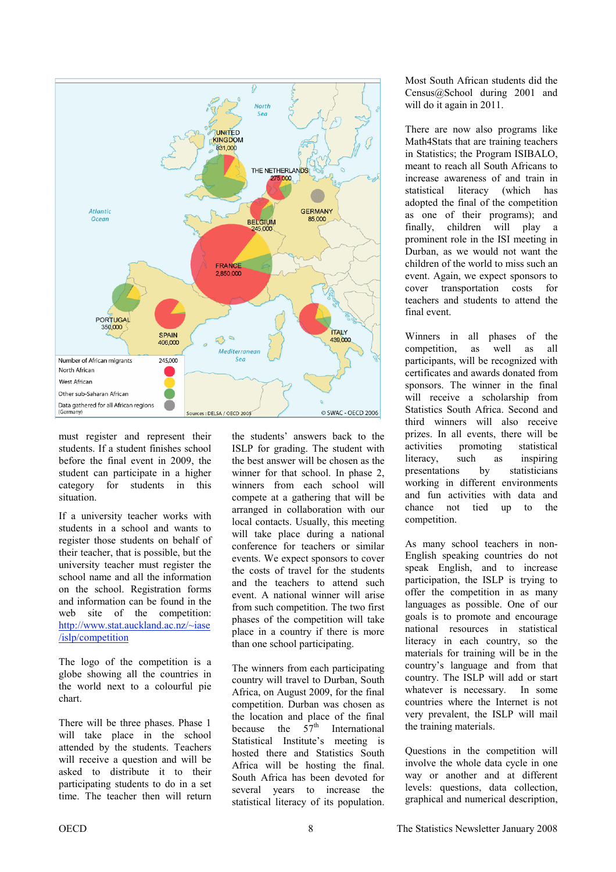

must register and represent their students. If a student finishes school before the final event in 2009, the student can participate in a higher category for students in this situation.

If a university teacher works with students in a school and wants to register those students on behalf of their teacher, that is possible, but the university teacher must register the school name and all the information on the school. Registration forms and information can be found in the web site of the competition: [http://www.stat.auckland.ac.nz/~iase](http://www.stat.auckland.ac.nz/~iase/islp/competition) /islp/competition

The logo of the competition is a globe showing all the countries in the world next to a colourful pie chart.

There will be three phases. Phase 1 will take place in the school attended by the students. Teachers will receive a question and will be asked to distribute it to their participating students to do in a set time. The teacher then will return

the students' answers back to the ISLP for grading. The student with the best answer will be chosen as the winner for that school. In phase 2, winners from each school will compete at a gathering that will be arranged in collaboration with our local contacts. Usually, this meeting will take place during a national conference for teachers or similar events. We expect sponsors to cover the costs of travel for the students and the teachers to attend such event. A national winner will arise from such competition. The two first phases of the competition will take place in a country if there is more than one school participating.

The winners from each participating country will travel to Durban, South Africa, on August 2009, for the final competition. Durban was chosen as the location and place of the final<br>because the  $57<sup>th</sup>$  International because the  $57<sup>th</sup>$  International Statistical Institute's meeting is hosted there and Statistics South Africa will be hosting the final. South Africa has been devoted for several years to increase the statistical literacy of its population.

Most South African students did the Census@School during 2001 and will do it again in 2011.

There are now also programs like Math4Stats that are training teachers in Statistics; the Program ISIBALO, meant to reach all South Africans to increase awareness of and train in statistical literacy (which has adopted the final of the competition as one of their programs); and finally, children will play a prominent role in the ISI meeting in Durban, as we would not want the children of the world to miss such an event. Again, we expect sponsors to cover transportation costs for teachers and students to attend the final event.

Winners in all phases of the competition, as well as all participants, will be recognized with certificates and awards donated from sponsors. The winner in the final will receive a scholarship from Statistics South Africa. Second and third winners will also receive prizes. In all events, there will be activities promoting statistical literacy, such as inspiring presentations by statisticians working in different environments and fun activities with data and chance not tied up to the competition.

As many school teachers in non-English speaking countries do not speak English, and to increase participation, the ISLP is trying to offer the competition in as many languages as possible. One of our goals is to promote and encourage national resources in statistical literacy in each country, so the materials for training will be in the country's language and from that country. The ISLP will add or start whatever is necessary. In some countries where the Internet is not very prevalent, the ISLP will mail the training materials.

Questions in the competition will involve the whole data cycle in one way or another and at different levels: questions, data collection, graphical and numerical description,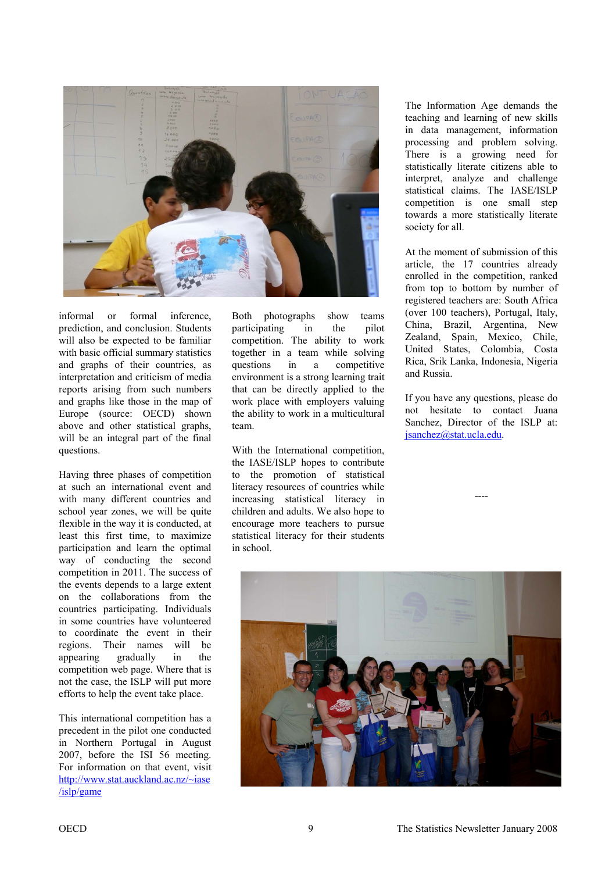

informal or formal inference, prediction, and conclusion. Students will also be expected to be familiar with basic official summary statistics and graphs of their countries, as interpretation and criticism of media reports arising from such numbers and graphs like those in the map of Europe (source: OECD) shown above and other statistical graphs, will be an integral part of the final questions.

Having three phases of competition at such an international event and with many different countries and school year zones, we will be quite flexible in the way it is conducted, at least this first time, to maximize participation and learn the optimal way of conducting the second competition in 2011. The success of the events depends to a large extent on the collaborations from the countries participating. Individuals in some countries have volunteered to coordinate the event in their regions. Their names will be appearing gradually in the competition web page. Where that is not the case, the ISLP will put more efforts to help the event take place.

This international competition has a precedent in the pilot one conducted in Northern Portugal in August 2007, before the ISI 56 meeting. For information on that event, visit [http://www.stat.auckland.ac.nz/~iase](http://www.stat.auckland.ac.nz/~iase/islp/game) /islp/game

Both photographs show teams participating in the pilot competition. The ability to work together in a team while solving questions in a competitive environment is a strong learning trait that can be directly applied to the work place with employers valuing the ability to work in a multicultural team.

With the International competition, the IASE/ISLP hopes to contribute to the promotion of statistical literacy resources of countries while increasing statistical literacy in children and adults. We also hope to encourage more teachers to pursue statistical literacy for their students in school.

The Information Age demands the teaching and learning of new skills in data management, information processing and problem solving. There is a growing need for statistically literate citizens able to interpret, analyze and challenge statistical claims. The IASE/ISLP competition is one small step towards a more statistically literate society for all.

At the moment of submission of this article, the 17 countries already enrolled in the competition, ranked from top to bottom by number of registered teachers are: South Africa (over 100 teachers), Portugal, Italy, China, Brazil, Argentina, New Zealand, Spain, Mexico, Chile, United States, Colombia, Costa Rica, Srik Lanka, Indonesia, Nigeria and Russia.

If you have any questions, please do not hesitate to contact Juana Sanchez, Director of the ISLP at: [jsanchez@stat.ucla.edu.](mailto:jsanchez@stat.ucla.edu) 

----

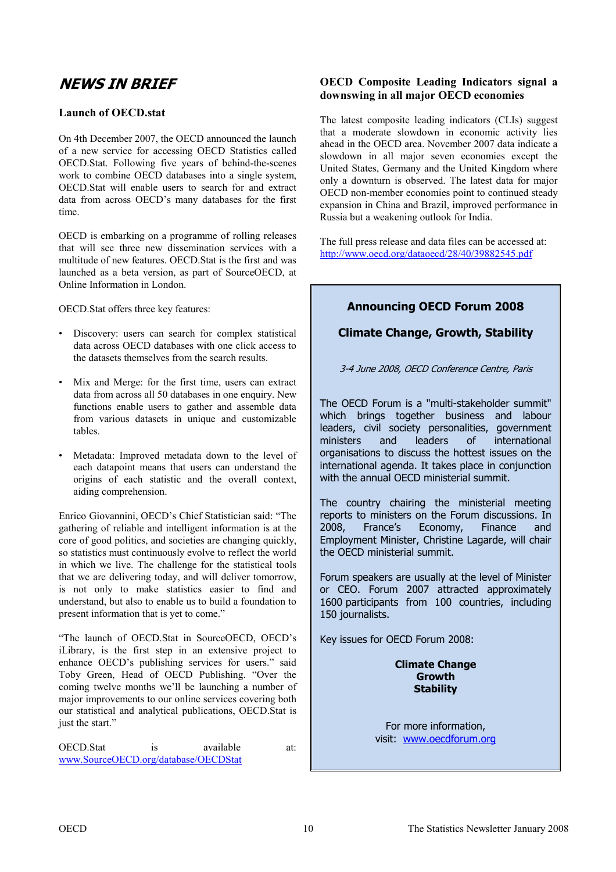# <span id="page-9-0"></span>**NEWS IN BRIEF**

# **Launch of OECD.stat**

On 4th December 2007, the OECD announced the launch of a new service for accessing OECD Statistics called OECD.Stat. Following five years of behind-the-scenes work to combine OECD databases into a single system, OECD.Stat will enable users to search for and extract data from across OECD's many databases for the first time.

OECD is embarking on a programme of rolling releases that will see three new dissemination services with a multitude of new features. OECD.Stat is the first and was launched as a beta version, as part of SourceOECD, at Online Information in London.

OECD.Stat offers three key features:

- Discovery: users can search for complex statistical data across OECD databases with one click access to the datasets themselves from the search results.
- Mix and Merge: for the first time, users can extract data from across all 50 databases in one enquiry. New functions enable users to gather and assemble data from various datasets in unique and customizable tables.
- Metadata: Improved metadata down to the level of each datapoint means that users can understand the origins of each statistic and the overall context, aiding comprehension.

Enrico Giovannini, OECD's Chief Statistician said: "The gathering of reliable and intelligent information is at the core of good politics, and societies are changing quickly, so statistics must continuously evolve to reflect the world in which we live. The challenge for the statistical tools that we are delivering today, and will deliver tomorrow, is not only to make statistics easier to find and understand, but also to enable us to build a foundation to present information that is yet to come."

"The launch of OECD.Stat in SourceOECD, OECD's iLibrary, is the first step in an extensive project to enhance OECD's publishing services for users." said Toby Green, Head of OECD Publishing. "Over the coming twelve months we'll be launching a number of major improvements to our online services covering both our statistical and analytical publications, OECD.Stat is just the start."

OECD.Stat is available at: www.SourceOECD.org/database/OECDStat

# **OECD Composite Leading Indicators signal a downswing in all major OECD economies**

The latest composite leading indicators (CLIs) suggest that a moderate slowdown in economic activity lies ahead in the OECD area. November 2007 data indicate a slowdown in all major seven economies except the United States, Germany and the United Kingdom where only a downturn is observed. The latest data for major OECD non-member economies point to continued steady expansion in China and Brazil, improved performance in Russia but a weakening outlook for India.

The full press release and data files can be accessed at: http://www.oecd.org/dataoecd/28/40/39882545.pdf

# **Announcing OECD Forum 2008**

# **Climate Change, Growth, Stability**

3-4 June 2008, OECD Conference Centre, Paris

The OECD Forum is a "multi-stakeholder summit" which brings together business and labour leaders, civil society personalities, government<br>ministers and leaders of international ministers and leaders of international organisations to discuss the hottest issues on the international agenda. It takes place in conjunction with the annual OECD ministerial summit.

The country chairing the ministerial meeting reports to ministers on the Forum discussions. In 2008, France's Economy, Finance and Employment Minister, Christine Lagarde, will chair the OECD ministerial summit.

Forum speakers are usually at the level of Minister or CEO. Forum 2007 attracted approximately 1600 participants from 100 countries, including 150 journalists.

Key issues for OECD Forum 2008:

**Climate Change Growth Stability** 

For more information, visit: www.oecdforum.org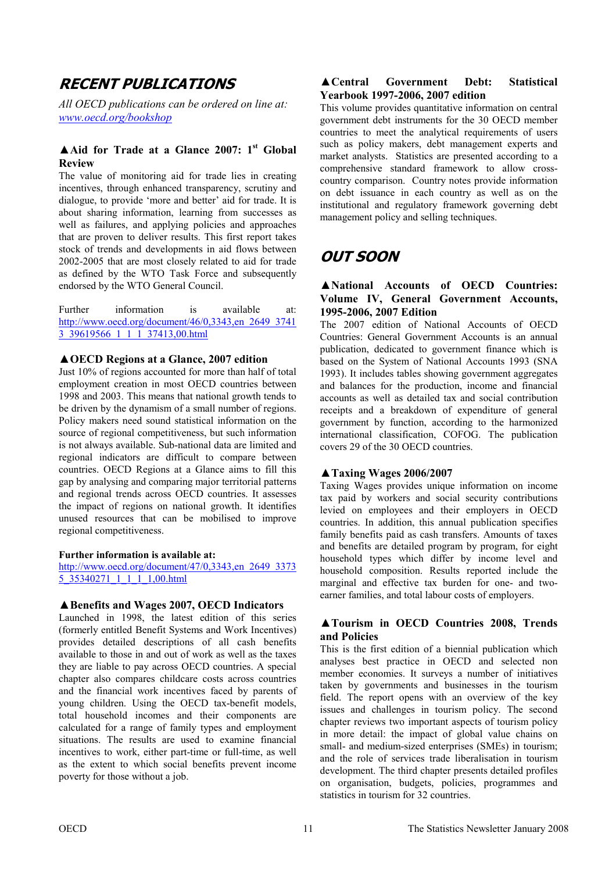# <span id="page-10-0"></span>**RECENT PUBLICATIONS**

*All OECD publications can be ordered on line at: <www.oecd.org/bookshop>*

# ▲**Aid for Trade at a Glance 2007: 1st Global Review**

The value of monitoring aid for trade lies in creating incentives, through enhanced transparency, scrutiny and dialogue, to provide 'more and better' aid for trade. It is about sharing information, learning from successes as well as failures, and applying policies and approaches that are proven to deliver results. This first report takes stock of trends and developments in aid flows between 2002-2005 that are most closely related to aid for trade as defined by the WTO Task Force and subsequently endorsed by the WTO General Council.

Further information is available at: [http://www.oecd.org/document/46/0,3343,en\\_2649\\_3741](http://www.oecd.org/document/46/0,3343,en_2649_37413_39619566_1_1_1_37413,00.html) 3\_39619566\_1\_1\_1\_37413,00.html

#### **▲OECD Regions at a Glance, 2007 edition**

Just 10% of regions accounted for more than half of total employment creation in most OECD countries between 1998 and 2003. This means that national growth tends to be driven by the dynamism of a small number of regions. Policy makers need sound statistical information on the source of regional competitiveness, but such information is not always available. Sub-national data are limited and regional indicators are difficult to compare between countries. OECD Regions at a Glance aims to fill this gap by analysing and comparing major territorial patterns and regional trends across OECD countries. It assesses the impact of regions on national growth. It identifies unused resources that can be mobilised to improve regional competitiveness.

#### **Further information is available at:**

[http://www.oecd.org/document/47/0,3343,en\\_2649\\_3373](http://www.oecd.org/document/47/0,3343,en_2649_33735_35340271_1_1_1_1,00.html) 5\_35340271\_1\_1\_1\_1,00.html

#### **▲Benefits and Wages 2007, OECD Indicators**

Launched in 1998, the latest edition of this series (formerly entitled Benefit Systems and Work Incentives) provides detailed descriptions of all cash benefits available to those in and out of work as well as the taxes they are liable to pay across OECD countries. A special chapter also compares childcare costs across countries and the financial work incentives faced by parents of young children. Using the OECD tax-benefit models, total household incomes and their components are calculated for a range of family types and employment situations. The results are used to examine financial incentives to work, either part-time or full-time, as well as the extent to which social benefits prevent income poverty for those without a job.

# **▲Central Government Debt: Statistical Yearbook 1997-2006, 2007 edition**

This volume provides quantitative information on central government debt instruments for the 30 OECD member countries to meet the analytical requirements of users such as policy makers, debt management experts and market analysts. Statistics are presented according to a comprehensive standard framework to allow crosscountry comparison. Country notes provide information on debt issuance in each country as well as on the institutional and regulatory framework governing debt management policy and selling techniques.

# **OUT SOON**

# **▲National Accounts of OECD Countries: Volume IV, General Government Accounts, 1995-2006, 2007 Edition**

The 2007 edition of National Accounts of OECD Countries: General Government Accounts is an annual publication, dedicated to government finance which is based on the System of National Accounts 1993 (SNA 1993). It includes tables showing government aggregates and balances for the production, income and financial accounts as well as detailed tax and social contribution receipts and a breakdown of expenditure of general government by function, according to the harmonized international classification, COFOG. The publication covers 29 of the 30 OECD countries.

# **▲Taxing Wages 2006/2007**

Taxing Wages provides unique information on income tax paid by workers and social security contributions levied on employees and their employers in OECD countries. In addition, this annual publication specifies family benefits paid as cash transfers. Amounts of taxes and benefits are detailed program by program, for eight household types which differ by income level and household composition. Results reported include the marginal and effective tax burden for one- and twoearner families, and total labour costs of employers.

# **▲Tourism in OECD Countries 2008, Trends and Policies**

This is the first edition of a biennial publication which analyses best practice in OECD and selected non member economies. It surveys a number of initiatives taken by governments and businesses in the tourism field. The report opens with an overview of the key issues and challenges in tourism policy. The second chapter reviews two important aspects of tourism policy in more detail: the impact of global value chains on small- and medium-sized enterprises (SMEs) in tourism; and the role of services trade liberalisation in tourism development. The third chapter presents detailed profiles on organisation, budgets, policies, programmes and statistics in tourism for 32 countries.